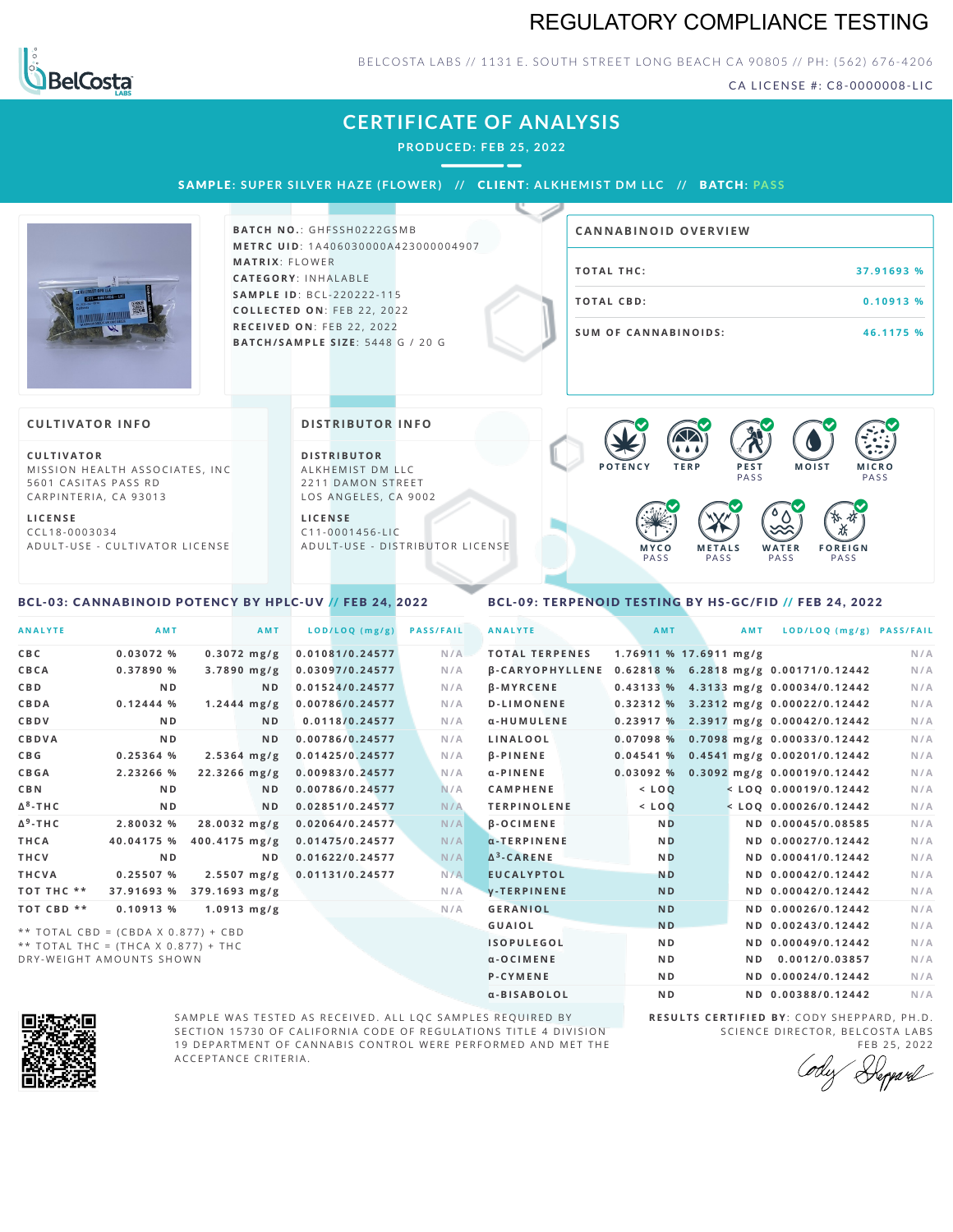# REGULATORY COMPLIANCE TESTING



## BELCOSTA LABS // 1131 E. SOUTH STREET LONG BEACH CA 90805 // PH: (562) 676-4206

CA LICENSE #: C8-0000008-LIC

# **CERTIFICATE OF ANALYSIS**

**PRODUCED: F EB 25, 2022**

SAMPLE: SUPER SILVER HAZE (FLOWER) // CLIENT: ALKHEMIST DM LLC // BATCH: PASS



**BATCH NO.: GHFSSH0222GSMB M E T R C U ID** :1 A 4 0 6 0 3 0 0 0 0 A 4 2 3 0 0 0 0 0 4 9 0 7 **M AT R I X** :F L O W E R **CAT E G O R Y** : I N H A L A B L E **SA M P L E I D** :B C L - 2 2 0 2 2 2 - 1 1 5 **C O L L E C T E D O N** :F E B 2 2 , 2 0 2 2 **R E C E I V E D O N** : F E B 2 2 , 2 0 2 2 **BAT C H / SA M P L E S I Z E** : 5 4 4 8 G / 2 0 G

| <b>CANNABINOID OVERVIEW</b> |             |
|-----------------------------|-------------|
| TOTAL THC:                  | 37.91693 %  |
| TOTAL CBD:                  | $0.10913$ % |
| <b>SUM OF CANNABINOIDS:</b> | 46.1175 %   |

#### **CULTIVATOR I N FO**

**C U L T I VAT O R** MISSION HEALTH ASSOCIATES, INC 5601 CASITAS PASS RD CARPINTERIA, CA 93013

**L I C E N S E** C C L 1 8 - 0 0 0 3 0 3 4 A D U L T - U S E - C U L T I V A T O R L I C E N S E **DI STRIBUTOR I N FO**

**D I S T R IB U T O R** ALKHEMIST DM LLC 2211 DAMON STREET LOS ANGELES, CA 9002

**L I C E N S E**  $C11 - 0001456 - HC$ A D U L T - U S E - D I STRI B U T O R LICENSE



#### <span id="page-0-0"></span>BCL-03: CANNABINOID POTENCY BY HPLC-UV // FEB 24, 2022

### <span id="page-0-1"></span>BCL-09: TERPENOID TESTING BY HS-GC/FID // FEB 24, 2022

| <b>ANALYTE</b>  | <b>AMT</b>                            | AMT                     | LOD/LOQ (mg/g)  | <b>PASS/FAIL</b> | <b>ANALYTE</b>                                        | AMT            | <b>AMT</b>             | LOD/LOQ (mg/g) PASS/FAIL                |     |
|-----------------|---------------------------------------|-------------------------|-----------------|------------------|-------------------------------------------------------|----------------|------------------------|-----------------------------------------|-----|
| CBC             | 0.03072%                              | $0.3072$ mg/g           | 0.01081/0.24577 | N/A              | <b>TOTAL TERPENES</b>                                 |                | 1.76911 % 17.6911 mg/g |                                         | N/A |
| CBCA            | 0.37890 %                             | $3.7890$ mg/g           | 0.03097/0.24577 | N/A              | β-CARYOPHYLLENE 0.62818 % 6.2818 mg/g 0.00171/0.12442 |                |                        |                                         | N/A |
| C B D           | N <sub>D</sub>                        | ND.                     | 0.01524/0.24577 | N/A              | $\beta$ -MYRCENE                                      |                |                        | 0.43133 % 4.3133 mg/g 0.00034/0.12442   | N/A |
| CBDA            | 0.12444%                              | $1.2444$ mg/g           | 0.00786/0.24577 | N/A              | <b>D-LIMONENE</b>                                     |                |                        | 0.32312 % 3.2312 mg/g 0.00022/0.12442   | N/A |
| CBDV            | N <sub>D</sub>                        | ND.                     | 0.0118/0.24577  | N/A              | α-HUMULENE                                            |                |                        | 0.23917 % 2.3917 mg/g 0.00042/0.12442   | N/A |
| <b>CBDVA</b>    | N <sub>D</sub>                        | ND.                     | 0.00786/0.24577 | N/A              | LINALOOL                                              | 0.07098%       |                        | 0.7098 mg/g 0.00033/0.12442             | N/A |
| C B G           | 0.25364%                              | $2.5364$ mg/g           | 0.01425/0.24577 | N/A              | <b>B-PINENE</b>                                       |                |                        | 0.04541 % 0.4541 mg/g 0.00201/0.12442   | N/A |
| CBGA            | 2.23266 %                             | 22.3266 mg/g            | 0.00983/0.24577 | N/A              | $\alpha$ -PINENE                                      |                |                        | $0.03092$ % 0.3092 mg/g 0.00019/0.12442 | N/A |
| <b>CBN</b>      | N <sub>D</sub>                        | N <sub>D</sub>          | 0.00786/0.24577 | N/A              | <b>CAMPHENE</b>                                       | $<$ $LOQ$      |                        | $<$ LOQ 0.00019/0.12442                 | N/A |
| $\Delta^8$ -THC | N <sub>D</sub>                        | ND.                     | 0.02851/0.24577 | N/A              | <b>TERPINOLENE</b>                                    | $<$ LOQ        |                        | $<$ LOQ 0.00026/0.12442                 | N/A |
| $\Delta^9$ -THC | 2.80032 %                             | $28.0032 \, mg/g$       | 0.02064/0.24577 | N/A              | <b>B-OCIMENE</b>                                      | N <sub>D</sub> |                        | ND 0.00045/0.08585                      | N/A |
| THCA            | 40.04175 %                            | 400.4175 mg/g           | 0.01475/0.24577 | N/A              | $\alpha$ -TERPINENE                                   | N <sub>D</sub> |                        | ND 0.00027/0.12442                      | N/A |
| THCV            | N <sub>D</sub>                        | N <sub>D</sub>          | 0.01622/0.24577 | N/A              | $\Delta^3$ -CARENE                                    | <b>ND</b>      |                        | ND 0.00041/0.12442                      | N/A |
| THCVA           | 0.25507%                              | $2.5507 \, mg/g$        | 0.01131/0.24577 | N/A              | <b>EUCALYPTOL</b>                                     | <b>ND</b>      |                        | ND 0.00042/0.12442                      | N/A |
| TOT THC **      | 37.91693 %                            | $379.1693 \text{ mg/g}$ |                 | N/A              | y-TERPINENE                                           | <b>ND</b>      |                        | ND 0.00042/0.12442                      | N/A |
| TOT CBD **      | $0.10913$ %                           | $1.0913$ mg/g           |                 | N/A              | <b>GERANIOL</b>                                       | <b>ND</b>      |                        | ND 0.00026/0.12442                      | N/A |
|                 | ** TOTAL CBD = (CBDA X 0.877) + CBD   |                         |                 |                  | <b>GUAIOL</b>                                         | <b>ND</b>      |                        | ND 0.00243/0.12442                      | N/A |
|                 | ** TOTAL THC = $(THCA X 0.877) + THC$ |                         |                 |                  | <b>ISOPULEGOL</b>                                     | N <sub>D</sub> |                        | ND 0.00049/0.12442                      | N/A |
|                 | DRY-WEIGHT AMOUNTS SHOWN              |                         |                 |                  | $\alpha$ -OCIMENE                                     | N <sub>D</sub> | ND.                    | 0.0012/0.03857                          | N/A |



SAMPLE WAS TESTED AS RECEIVED. ALL LQC SAMPLES REQUIRED BY SECTION 15730 OF CALIFORNIA CODE OF REGULATIONS TITLE 4 DIVISION 19 DEPARTMENT OF CANNABIS CONTROL WERE PERFORMED AND MET THE A C C E P T A N C E C R I T E R I A .

**R E S U L T S C E R T I F I E D BY** : C O D Y S H E P P A R D ,P H .D . SCIENCE DIRECTOR, BELCOSTA LABS FEB 25, 2022

P-CYMENE ND ND ND 0.00024/0.12442 N/A α-BISABOLOL **ND ND 0.00388/0.12442** N/A

Deppard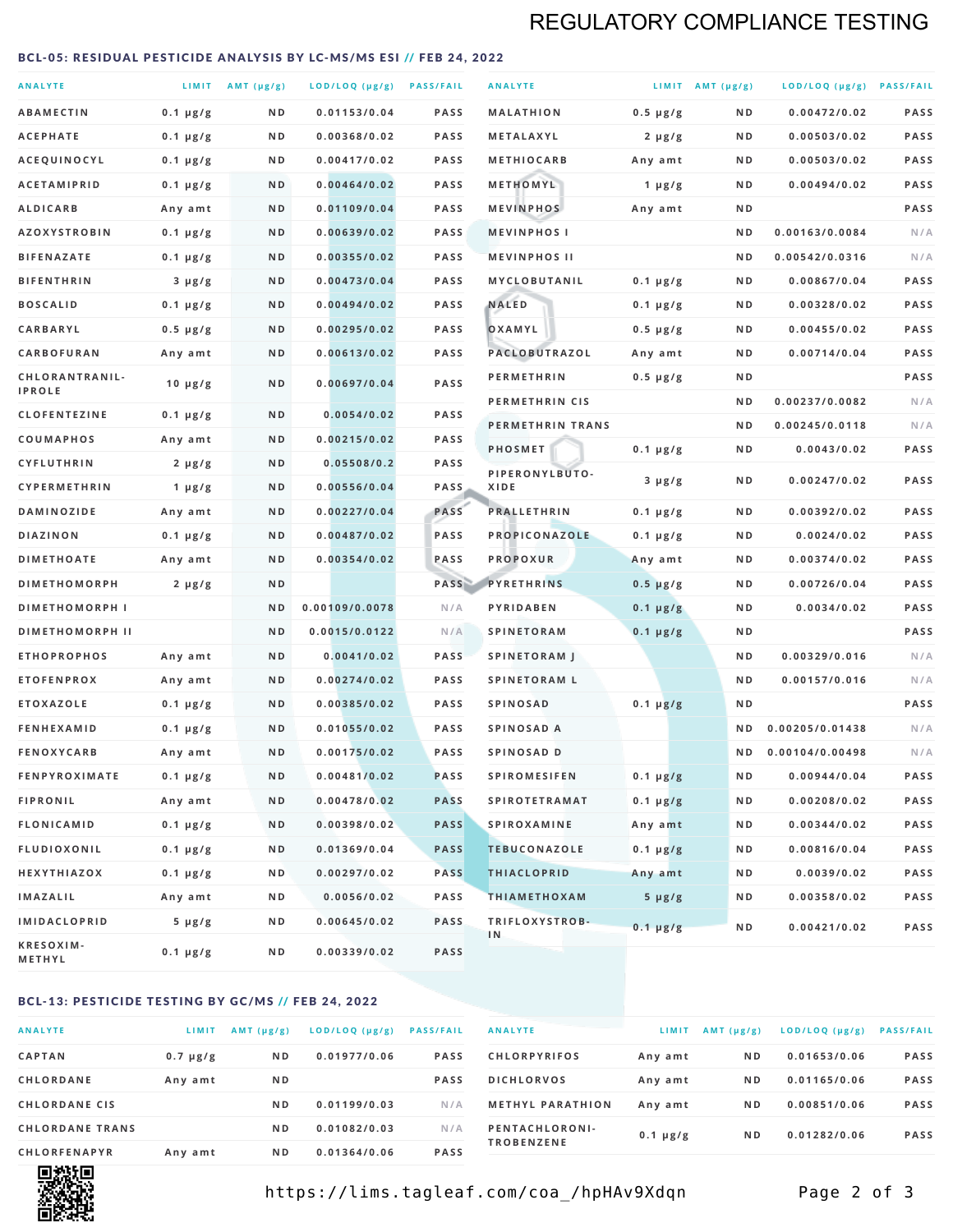# REGULATORY COMPLIANCE TESTING

### <span id="page-1-0"></span>BCL-05: RESIDUAL PESTICIDE ANALYSIS BY LC-MS/MS ESI // FEB 24, 2022

| <b>ANALYTE</b>                          |                    | LIMIT AMT (µg/g) | LOD/LOQ (µg/g) PASS/FAIL    |                     | <b>ANALYTE</b>                             |                          | LIMIT AMT $(\mu g/g)$ | LOD/LOQ (µg/g) PASS/FAIL       |            |
|-----------------------------------------|--------------------|------------------|-----------------------------|---------------------|--------------------------------------------|--------------------------|-----------------------|--------------------------------|------------|
| <b>ABAMECTIN</b>                        | $0.1 \mu g/g$      | N D              | 0.01153/0.04                | <b>PASS</b>         | <b>MALATHION</b>                           | $0.5 \mu g/g$            | N D                   | 0.00472/0.02                   | PASS       |
| <b>ACEPHATE</b>                         | $0.1 \mu g/g$      | ND               | 0.00368/0.02                | <b>PASS</b>         | METALAXYL                                  | $2 \mu g/g$              | N D                   | 0.00503/0.02                   | PASS       |
| ACEQUINOCYL                             | $0.1 \mu g/g$      | N D              | 0.00417/0.02                | <b>PASS</b>         | <b>METHIOCARB</b>                          | Any amt                  | N D                   | 0.00503/0.02                   | PASS       |
| <b>ACETAMIPRID</b>                      | $0.1 \mu g/g$      | N D              | 0.00464/0.02                | <b>PASS</b>         | METHOMYL                                   | 1 $\mu$ g/g              | N D                   | 0.00494/0.02                   | PASS       |
| <b>ALDICARB</b>                         | Any amt            | N D              | 0.01109/0.04                | <b>PASS</b>         | <b>MEVINPHOS</b>                           | Any amt                  | N D                   |                                | PASS       |
| <b>AZOXYSTROBIN</b>                     | $0.1 \mu g/g$      | N D              | 0.00639/0.02                | <b>PASS</b>         | <b>MEVINPHOSI</b>                          |                          | N D                   | 0.00163/0.0084                 | N/A        |
| <b>BIFENAZATE</b>                       | $0.1 \mu g/g$      | N D              | 0.00355/0.02                | <b>PASS</b>         | <b>MEVINPHOS II</b>                        |                          | ND.                   | 0.00542/0.0316                 | N/A        |
| <b>BIFENTHRIN</b>                       | $3 \mu g/g$        | N D              | 0.00473/0.04                | <b>PASS</b>         | <b>MYCLOBUTANIL</b>                        | $0.1 \mu g/g$            | N D                   | 0.00867/0.04                   | PASS       |
| <b>BOSCALID</b>                         | $0.1 \mu g/g$      | N D              | 0.00494/0.02                | <b>PASS</b>         | <b>NALED</b>                               | $0.1 \mu g/g$            | N D                   | 0.00328/0.02                   | PASS       |
| CARBARYL                                | $0.5 \mu g/g$      | N D              | 0.00295/0.02                | <b>PASS</b>         | OXAMYL                                     | $0.5 \mu g/g$            | N D                   | 0.00455/0.02                   | PASS       |
| CARBOFURAN                              | Any amt            | N D              | 0.00613/0.02                | <b>PASS</b>         | PACLOBUTRAZOL                              | Any amt                  | N D                   | 0.00714/0.04                   | PASS       |
| CHLORANTRANIL-<br><b>IPROLE</b>         | $10 \mu g/g$       | N D              | 0.00697/0.04                | PASS                | <b>PERMETHRIN</b>                          | $0.5 \mu g/g$            | N D                   |                                | PASS       |
| <b>CLOFENTEZINE</b>                     |                    | N D              | 0.0054/0.02                 | <b>PASS</b>         | PERMETHRIN CIS                             |                          | N D                   | 0.00237/0.0082                 | N/A        |
|                                         | $0.1 \mu g/g$      | N D              | 0.00215/0.02                | <b>PASS</b>         | PERMETHRIN TRANS                           |                          | N D                   | 0.00245/0.0118                 | N/A        |
| <b>COUMAPHOS</b><br><b>CYFLUTHRIN</b>   | Any amt            | N D              | 0.05508/0.2                 | <b>PASS</b>         | <b>PHOSMET</b>                             | $0.1 \mu g/g$            | N D                   | 0.0043/0.02                    | PASS       |
| CYPERMETHRIN                            | $2 \mu g/g$        | N D              | 0.00556/0.04                | <b>PASS</b>         | PIPERONYLBUTO-<br>XIDE                     | $3 \mu g/g$              | N D                   | 0.00247/0.02                   | PASS       |
| <b>DAMINOZIDE</b>                       | 1 $\mu$ g/g        | N D              | 0.00227/0.04                | PASS                | <b>PRALLETHRIN</b>                         | $0.1 \mu g/g$            | N D                   | 0.00392/0.02                   | PASS       |
| <b>DIAZINON</b>                         | Any amt            | N D              | 0.00487/0.02                | <b>PASS</b>         | PROPICONAZOLE                              |                          | N D                   | 0.0024/0.02                    | PASS       |
| <b>DIMETHOATE</b>                       | $0.1 \mu g/g$      | N D              | 0.00354/0.02                | PASS                | <b>PROPOXUR</b>                            | $0.1 \mu g/g$            | N D                   | 0.00374/0.02                   | PASS       |
| <b>DIMETHOMORPH</b>                     | Any amt            | ND               |                             | PASS                | <b>PYRETHRINS</b>                          | Any amt<br>$0.5 \mu g/g$ | N D                   | 0.00726/0.04                   | PASS       |
| <b>DIMETHOMORPH I</b>                   | $2 \mu g/g$        | ND               | 0.00109/0.0078              | N/A                 | PYRIDABEN                                  |                          | N D                   | 0.0034/0.02                    | PASS       |
|                                         |                    |                  |                             |                     |                                            | $0.1 \mu g/g$            |                       |                                | PASS       |
| <b>DIMETHOMORPH II</b>                  |                    | ND               | 0.0015/0.0122               | N/A                 | <b>SPINETORAM</b>                          | $0.1 \mu g/g$            | N D                   |                                |            |
| <b>ETHOPROPHOS</b><br><b>ETOFENPROX</b> | Any amt<br>Any amt | N D<br>N D       | 0.0041/0.02<br>0.00274/0.02 | <b>PASS</b><br>PASS | <b>SPINETORAM J</b><br><b>SPINETORAM L</b> |                          | N D<br>N D            | 0.00329/0.016<br>0.00157/0.016 | N/A<br>N/A |
| <b>ETOXAZOLE</b>                        | $0.1 \mu g/g$      | ND               | 0.00385/0.02                | <b>PASS</b>         | <b>SPINOSAD</b>                            | $0.1 \mu g/g$            | N D                   |                                | PASS       |
| <b>FENHEXAMID</b>                       | $0.1 \mu g/g$      | N D              | 0.01055/0.02                | <b>PASS</b>         | SPINOSAD A                                 |                          | N D                   | 0.00205/0.01438                | N/A        |
| <b>FENOXYCARB</b>                       | Any amt            | N D              | 0.00175/0.02                | <b>PASS</b>         | <b>SPINOSAD D</b>                          |                          | N <sub>D</sub>        | 0.00104/0.00498                | N/A        |
| <b>FENPYROXIMATE</b>                    | $0.1 \mu g/g$      | N D              | 0.00481/0.02                | <b>PASS</b>         | <b>SPIROMESIFEN</b>                        | $0.1 \mu g/g$            | N D                   | 0.00944/0.04                   | PASS       |
| <b>FIPRONIL</b>                         | Any amt            | N D              | 0.00478/0.02                | <b>PASS</b>         | <b>SPIROTETRAMAT</b>                       | $0.1 \mu g/g$            | N D                   | 0.00208/0.02                   | PASS       |
| <b>FLONICAMID</b>                       | $0.1 \mu g/g$      | N D              | 0.00398/0.02                | <b>PASS</b>         | <b>SPIROXAMINE</b>                         | Any amt                  | N D                   | 0.00344/0.02                   | PASS       |
| <b>FLUDIOXONIL</b>                      | $0.1 \mu g/g$      | N D              | 0.01369/0.04                | <b>PASS</b>         | <b>TEBUCONAZOLE</b>                        | $0.1 \mu g/g$            | N D                   | 0.00816/0.04                   | PASS       |
| HEXYTHIAZOX                             | 0.1 µg/g           | N D              | 0.00297/0.02                | <b>PASS</b>         | <b>THIACLOPRID</b>                         | Any amt                  | N D                   | 0.0039/0.02                    | PASS       |
| <b>IMAZALIL</b>                         | Any amt            | N D              | 0.0056/0.02                 | PASS                | <b>THIAMETHOXAM</b>                        | $5 \mu g/g$              | N D                   | 0.00358/0.02                   | PASS       |
| <b>IMIDACLOPRID</b>                     | $5 \mu g/g$        | ND               | 0.00645/0.02                | <b>PASS</b>         | TRIFLOXYSTROB-                             |                          |                       |                                |            |
| KRESOXIM-<br>METHYL                     | $0.1 \mu g/g$      | N D              | 0.00339/0.02                | <b>PASS</b>         | 1 <sub>N</sub>                             | $0.1 \mu g/g$            | N D                   | 0.00421/0.02                   | PASS       |

### BCL-13: PESTICIDE TESTING BY GC/MS // FEB 24, 2022

| <b>ANALYTE</b>         | LIMIT         | $AMT$ ( $\mu g/g$ ) | LOD/LOQ (µg/g) | <b>PASS/FAIL</b> |
|------------------------|---------------|---------------------|----------------|------------------|
| <b>CAPTAN</b>          | $0.7 \mu g/g$ | N <sub>D</sub>      | 0.01977/0.06   | <b>PASS</b>      |
| CHLORDANE              | Any amt       | N <sub>D</sub>      |                | <b>PASS</b>      |
| <b>CHLORDANE CIS</b>   |               | N <sub>D</sub>      | 0.01199/0.03   | N/A              |
| <b>CHLORDANE TRANS</b> |               | N <sub>D</sub>      | 0.01082/0.03   | N/A              |
| <b>CHLORFENAPYR</b>    | Any amt       | N <sub>D</sub>      | 0.01364/0.06   | <b>PASS</b>      |

| <b>ANALYTE</b>                      | LIMIT         | $AMT (\mu g/g)$ | $LOD/LOQ$ ( $\mu g/g$ ) | <b>PASS/FAIL</b> |
|-------------------------------------|---------------|-----------------|-------------------------|------------------|
| <b>CHLORPYRIFOS</b>                 | Any amt       | N <sub>D</sub>  | 0.01653/0.06            | <b>PASS</b>      |
| <b>DICHLORVOS</b>                   | Any amt       | N <sub>D</sub>  | 0.01165/0.06            | <b>PASS</b>      |
| <b>METHYL PARATHION</b>             | Any amt       | N <sub>D</sub>  | 0.00851/0.06            | <b>PASS</b>      |
| PENTACHLORONI-<br><b>TROBENZENE</b> | $0.1 \mu g/g$ | N <sub>D</sub>  | 0.01282/0.06            | <b>PASS</b>      |